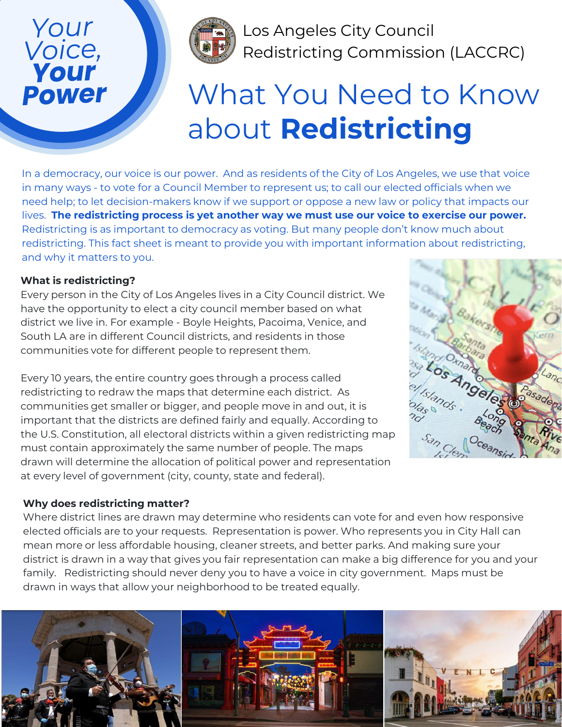## Your Voice, **Power**



Los Angeles City Council Redistricting Commission (LACCRC)

# What You Need to Know about **Redistricting**

In a democracy, our voice is our power. And as residents of the City of Los Angeles, we use that voice in many ways - to vote for a Council Member to represent us; to call our elected officials when we need help; to let decision-makers know if we support or oppose a new law or policy that impacts our lives. **The redistricting process is yet another way we must use our voice to exercise our power.** Redistricting is as important to democracy as voting. But many people don't know much about redistricting. This fact sheet is meant to provide you with important information about redistricting, and why it matters to you.

## **What is redistricting?**

Every person in the City of Los Angeles lives in a City Council district. We have the opportunity to elect a city council member based on what district we live in. For example - Boyle Heights, Pacoima, Venice, and South LA are in different Council districts, and residents in those communities vote for different people to represent them.

Every 10 years, the entire country goes through a process called redistricting to redraw the maps that determine each district. As communities get smaller or bigger, and people move in and out, it is important that the districts are defined fairly and equally. According to the U.S. Constitution, all electoral districts within a given redistricting map must contain approximately the same number of people. The maps drawn will determine the allocation of political power and representation at every level of government (city, county, state and federal).



## **Why does redistricting matter?**

Where district lines are drawn may determine who residents can vote for and even how responsive elected officials are to your requests. Representation is power. Who represents you in City Hall can mean more or less affordable housing, cleaner streets, and better parks. And making sure your district is drawn in a way that gives you fair representation can make a big difference for you and your family. Redistricting should never deny you to have a voice in city government. Maps must be drawn in ways that allow your neighborhood to be treated equally.